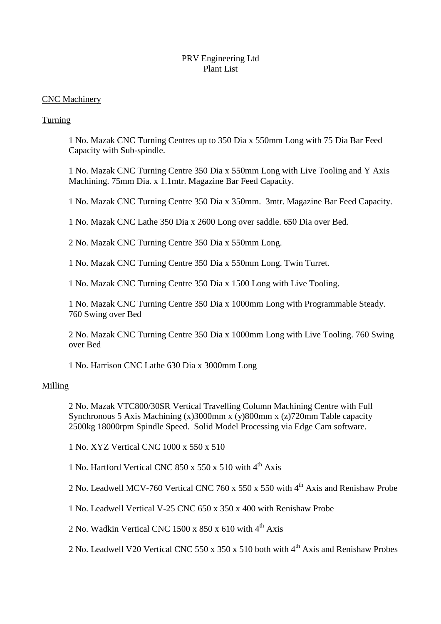## PRV Engineering Ltd Plant List

### CNC Machinery

## Turning

1 No. Mazak CNC Turning Centres up to 350 Dia x 550mm Long with 75 Dia Bar Feed Capacity with Sub-spindle.

1 No. Mazak CNC Turning Centre 350 Dia x 550mm Long with Live Tooling and Y Axis Machining. 75mm Dia. x 1.1mtr. Magazine Bar Feed Capacity.

1 No. Mazak CNC Turning Centre 350 Dia x 350mm. 3mtr. Magazine Bar Feed Capacity.

1 No. Mazak CNC Lathe 350 Dia x 2600 Long over saddle. 650 Dia over Bed.

2 No. Mazak CNC Turning Centre 350 Dia x 550mm Long.

1 No. Mazak CNC Turning Centre 350 Dia x 550mm Long. Twin Turret.

1 No. Mazak CNC Turning Centre 350 Dia x 1500 Long with Live Tooling.

1 No. Mazak CNC Turning Centre 350 Dia x 1000mm Long with Programmable Steady. 760 Swing over Bed

2 No. Mazak CNC Turning Centre 350 Dia x 1000mm Long with Live Tooling. 760 Swing over Bed

1 No. Harrison CNC Lathe 630 Dia x 3000mm Long

### Milling

2 No. Mazak VTC800/30SR Vertical Travelling Column Machining Centre with Full Synchronous 5 Axis Machining (x)3000mm x (y)800mm x (z)720mm Table capacity 2500kg 18000rpm Spindle Speed. Solid Model Processing via Edge Cam software.

1 No. XYZ Vertical CNC 1000 x 550 x 510

1 No. Hartford Vertical CNC 850 x 550 x 510 with  $4<sup>th</sup>$  Axis

2 No. Leadwell MCV-760 Vertical CNC 760 x 550 x 550 with 4th Axis and Renishaw Probe

1 No. Leadwell Vertical V-25 CNC 650 x 350 x 400 with Renishaw Probe

2 No. Wadkin Vertical CNC 1500 x 850 x 610 with  $4<sup>th</sup>$  Axis

2 No. Leadwell V20 Vertical CNC 550 x 350 x 510 both with 4<sup>th</sup> Axis and Renishaw Probes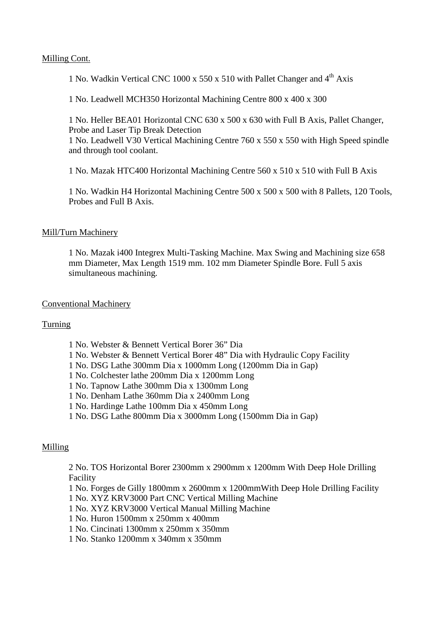### Milling Cont.

1 No. Wadkin Vertical CNC 1000 x 550 x 510 with Pallet Changer and  $4<sup>th</sup>$  Axis

1 No. Leadwell MCH350 Horizontal Machining Centre 800 x 400 x 300

1 No. Heller BEA01 Horizontal CNC 630 x 500 x 630 with Full B Axis, Pallet Changer, Probe and Laser Tip Break Detection

1 No. Leadwell V30 Vertical Machining Centre 760 x 550 x 550 with High Speed spindle and through tool coolant.

1 No. Mazak HTC400 Horizontal Machining Centre 560 x 510 x 510 with Full B Axis

1 No. Wadkin H4 Horizontal Machining Centre 500 x 500 x 500 with 8 Pallets, 120 Tools, Probes and Full B Axis.

## Mill/Turn Machinery

1 No. Mazak i400 Integrex Multi-Tasking Machine. Max Swing and Machining size 658 mm Diameter, Max Length 1519 mm. 102 mm Diameter Spindle Bore. Full 5 axis simultaneous machining.

## Conventional Machinery

## Turning

- 1 No. Webster & Bennett Vertical Borer 36" Dia
- 1 No. Webster & Bennett Vertical Borer 48" Dia with Hydraulic Copy Facility
- 1 No. DSG Lathe 300mm Dia x 1000mm Long (1200mm Dia in Gap)
- 1 No. Colchester lathe 200mm Dia x 1200mm Long
- 1 No. Tapnow Lathe 300mm Dia x 1300mm Long
- 1 No. Denham Lathe 360mm Dia x 2400mm Long
- 1 No. Hardinge Lathe 100mm Dia x 450mm Long
- 1 No. DSG Lathe 800mm Dia x 3000mm Long (1500mm Dia in Gap)

## Milling

2 No. TOS Horizontal Borer 2300mm x 2900mm x 1200mm With Deep Hole Drilling Facility

- 1 No. Forges de Gilly 1800mm x 2600mm x 1200mmWith Deep Hole Drilling Facility
- 1 No. XYZ KRV3000 Part CNC Vertical Milling Machine
- 1 No. XYZ KRV3000 Vertical Manual Milling Machine
- 1 No. Huron 1500mm x 250mm x 400mm
- 1 No. Cincinati 1300mm x 250mm x 350mm
- 1 No. Stanko 1200mm x 340mm x 350mm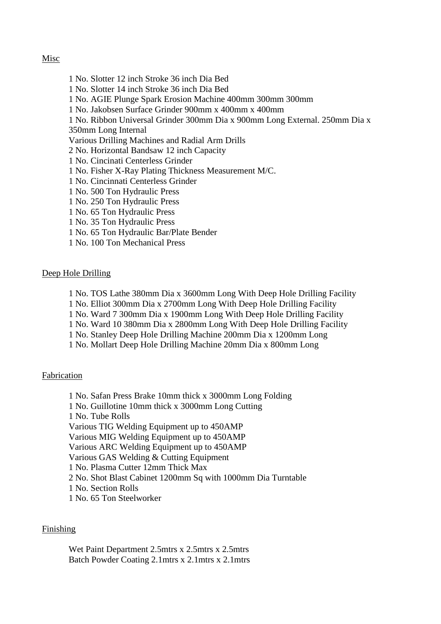### Misc

- 1 No. Slotter 12 inch Stroke 36 inch Dia Bed
- 1 No. Slotter 14 inch Stroke 36 inch Dia Bed
- 1 No. AGIE Plunge Spark Erosion Machine 400mm 300mm 300mm
- 1 No. Jakobsen Surface Grinder 900mm x 400mm x 400mm
- 1 No. Ribbon Universal Grinder 300mm Dia x 900mm Long External. 250mm Dia x
- 350mm Long Internal
- Various Drilling Machines and Radial Arm Drills
- 2 No. Horizontal Bandsaw 12 inch Capacity
- 1 No. Cincinati Centerless Grinder
- 1 No. Fisher X-Ray Plating Thickness Measurement M/C.
- 1 No. Cincinnati Centerless Grinder
- 1 No. 500 Ton Hydraulic Press
- 1 No. 250 Ton Hydraulic Press
- 1 No. 65 Ton Hydraulic Press
- 1 No. 35 Ton Hydraulic Press
- 1 No. 65 Ton Hydraulic Bar/Plate Bender
- 1 No. 100 Ton Mechanical Press

#### Deep Hole Drilling

- 1 No. TOS Lathe 380mm Dia x 3600mm Long With Deep Hole Drilling Facility
- 1 No. Elliot 300mm Dia x 2700mm Long With Deep Hole Drilling Facility
- 1 No. Ward 7 300mm Dia x 1900mm Long With Deep Hole Drilling Facility
- 1 No. Ward 10 380mm Dia x 2800mm Long With Deep Hole Drilling Facility
- 1 No. Stanley Deep Hole Drilling Machine 200mm Dia x 1200mm Long
- 1 No. Mollart Deep Hole Drilling Machine 20mm Dia x 800mm Long

#### Fabrication

1 No. Safan Press Brake 10mm thick x 3000mm Long Folding 1 No. Guillotine 10mm thick x 3000mm Long Cutting 1 No. Tube Rolls Various TIG Welding Equipment up to 450AMP Various MIG Welding Equipment up to 450AMP Various ARC Welding Equipment up to 450AMP Various GAS Welding & Cutting Equipment 1 No. Plasma Cutter 12mm Thick Max 2 No. Shot Blast Cabinet 1200mm Sq with 1000mm Dia Turntable 1 No. Section Rolls 1 No. 65 Ton Steelworker

#### Finishing

Wet Paint Department 2.5mtrs x 2.5mtrs x 2.5mtrs Batch Powder Coating 2.1mtrs x 2.1mtrs x 2.1mtrs